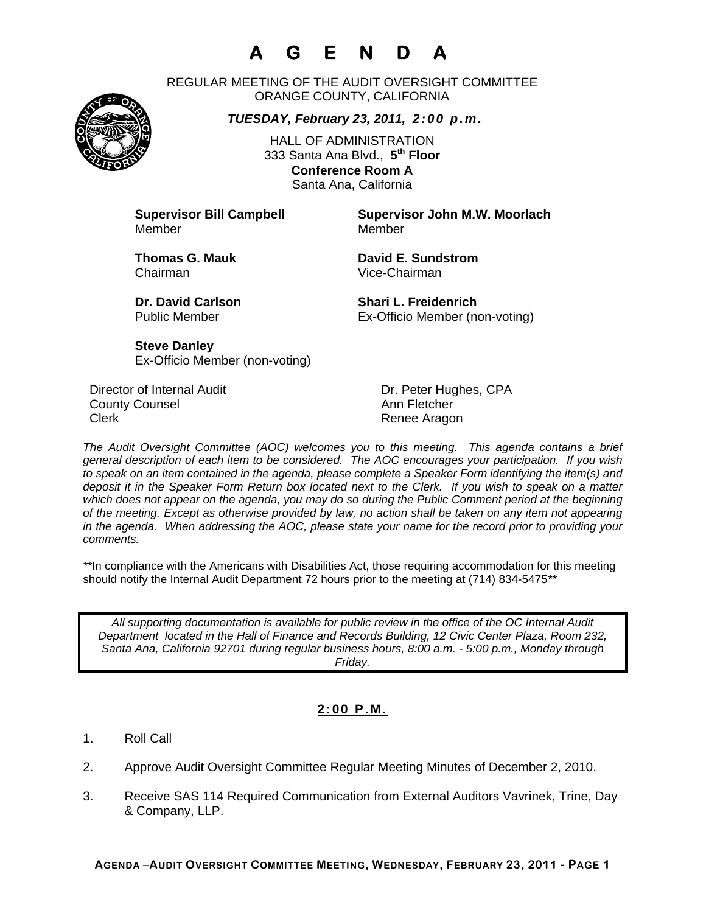# **A G E N D A**

REGULAR MEETING OF THE AUDIT OVERSIGHT COMMITTEE ORANGE COUNTY, CALIFORNIA

*TUESDAY, February 23, 2011, 2:00 p.m.*

HALL OF ADMINISTRATION 333 Santa Ana Blvd., **5th Floor Conference Room A**  Santa Ana, California

Member Member

**Supervisor Bill Campbell Supervisor John M.W. Moorlach**

Chairman Vice-Chairman

**Thomas G. Mauk Communist Communist Communist Communist Communist Communist Communist Communist Communist Communist Communist Communist Communist Communist Communist Communist Communist Communist Communist Communist Commun** 

**Dr. David Carlson Shari L. Freidenrich** Public Member Ex-Officio Member (non-voting)

**Steve Danley** Ex-Officio Member (non-voting)

Director of Internal Audit **Dr. Peter Hughes, CPA County Counsel Counting County Counsel Ann Fletcher** Clerk **Clerk Renee Aragon** 

*The Audit Oversight Committee (AOC) welcomes you to this meeting. This agenda contains a brief general description of each item to be considered. The AOC encourages your participation. If you wish to speak on an item contained in the agenda, please complete a Speaker Form identifying the item(s) and deposit it in the Speaker Form Return box located next to the Clerk. If you wish to speak on a matter which does not appear on the agenda, you may do so during the Public Comment period at the beginning of the meeting. Except as otherwise provided by law, no action shall be taken on any item not appearing in the agenda. When addressing the AOC, please state your name for the record prior to providing your comments.* 

*\*\**In compliance with the Americans with Disabilities Act, those requiring accommodation for this meeting should notify the Internal Audit Department 72 hours prior to the meeting at (714) 834-5475*\*\** 

*All supporting documentation is available for public review in the office of the OC Internal Audit Department located in the Hall of Finance and Records Building, 12 Civic Center Plaza, Room 232, Santa Ana, California 92701 during regular business hours, 8:00 a.m. - 5:00 p.m., Monday through Friday.* 

### **2:00 P.M.**

- 1. Roll Call
- 2. Approve Audit Oversight Committee Regular Meeting Minutes of December 2, 2010.
- 3. Receive SAS 114 Required Communication from External Auditors Vavrinek, Trine, Day & Company, LLP.